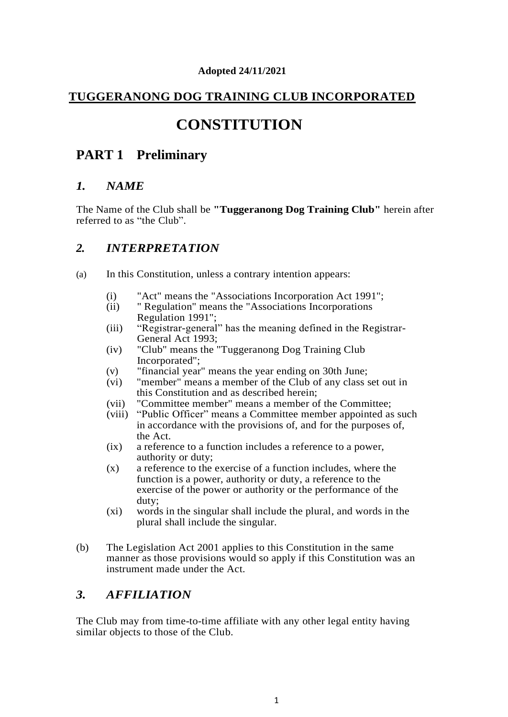#### **Adopted 24/11/2021**

### **TUGGERANONG DOG TRAINING CLUB INCORPORATED**

# **CONSTITUTION**

# **PART 1 Preliminary**

#### *1. NAME*

The Name of the Club shall be **"Tuggeranong Dog Training Club"** herein after referred to as "the Club".

#### *2. INTERPRETATION*

- (a) In this Constitution, unless a contrary intention appears:
	- (i) "Act" means the "Associations Incorporation Act 1991";
	- (ii) " Regulation" means the "Associations Incorporations Regulation 1991";
	- (iii) "Registrar-general" has the meaning defined in the Registrar-General Act 1993;
	- (iv) "Club" means the "Tuggeranong Dog Training Club Incorporated";
	- (v) "financial year" means the year ending on 30th June;
	- (vi) "member" means a member of the Club of any class set out in this Constitution and as described herein;
	- (vii) "Committee member" means a member of the Committee;
	- (viii) "Public Officer" means a Committee member appointed as such in accordance with the provisions of, and for the purposes of, the Act.
	- (ix) a reference to a function includes a reference to a power, authority or duty;
	- (x) a reference to the exercise of a function includes, where the function is a power, authority or duty, a reference to the exercise of the power or authority or the performance of the duty;
	- (xi) words in the singular shall include the plural, and words in the plural shall include the singular.
- (b) The Legislation Act 2001 applies to this Constitution in the same manner as those provisions would so apply if this Constitution was an instrument made under the Act.

#### *3. AFFILIATION*

The Club may from time-to-time affiliate with any other legal entity having similar objects to those of the Club.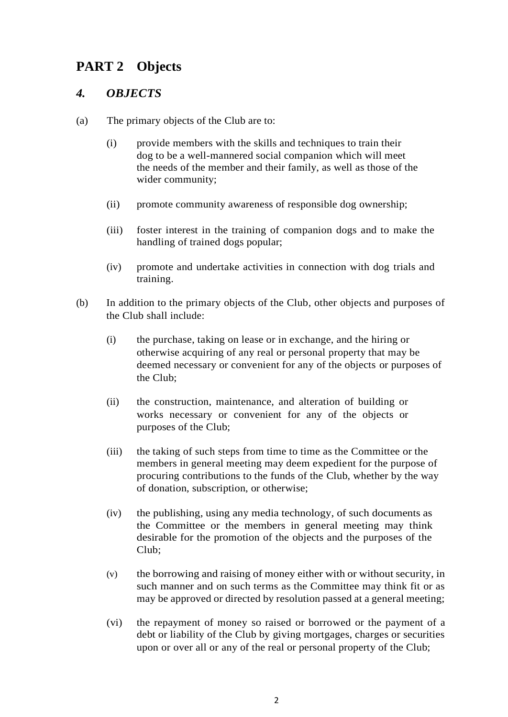# **PART 2 Objects**

### *4. OBJECTS*

- (a) The primary objects of the Club are to:
	- (i) provide members with the skills and techniques to train their dog to be a well-mannered social companion which will meet the needs of the member and their family, as well as those of the wider community;
	- (ii) promote community awareness of responsible dog ownership;
	- (iii) foster interest in the training of companion dogs and to make the handling of trained dogs popular;
	- (iv) promote and undertake activities in connection with dog trials and training.
- (b) In addition to the primary objects of the Club, other objects and purposes of the Club shall include:
	- (i) the purchase, taking on lease or in exchange, and the hiring or otherwise acquiring of any real or personal property that may be deemed necessary or convenient for any of the objects or purposes of the Club;
	- (ii) the construction, maintenance, and alteration of building or works necessary or convenient for any of the objects or purposes of the Club;
	- (iii) the taking of such steps from time to time as the Committee or the members in general meeting may deem expedient for the purpose of procuring contributions to the funds of the Club, whether by the way of donation, subscription, or otherwise;
	- (iv) the publishing, using any media technology, of such documents as the Committee or the members in general meeting may think desirable for the promotion of the objects and the purposes of the Club;
	- (v) the borrowing and raising of money either with or without security, in such manner and on such terms as the Committee may think fit or as may be approved or directed by resolution passed at a general meeting;
	- (vi) the repayment of money so raised or borrowed or the payment of a debt or liability of the Club by giving mortgages, charges or securities upon or over all or any of the real or personal property of the Club;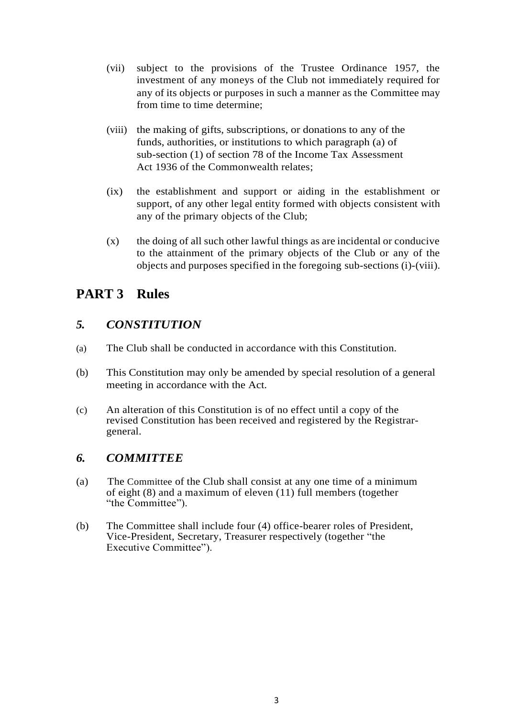- (vii) subject to the provisions of the Trustee Ordinance 1957, the investment of any moneys of the Club not immediately required for any of its objects or purposes in such a manner as the Committee may from time to time determine;
- (viii) the making of gifts, subscriptions, or donations to any of the funds, authorities, or institutions to which paragraph (a) of sub-section (1) of section 78 of the Income Tax Assessment Act 1936 of the Commonwealth relates;
- (ix) the establishment and support or aiding in the establishment or support, of any other legal entity formed with objects consistent with any of the primary objects of the Club;
- (x) the doing of all such other lawful things as are incidental or conducive to the attainment of the primary objects of the Club or any of the objects and purposes specified in the foregoing sub-sections (i)-(viii).

# **PART 3 Rules**

## *5. CONSTITUTION*

- (a) The Club shall be conducted in accordance with this Constitution.
- (b) This Constitution may only be amended by special resolution of a general meeting in accordance with the Act.
- (c) An alteration of this Constitution is of no effect until a copy of the revised Constitution has been received and registered by the Registrargeneral.

## *6. COMMITTEE*

- (a) The Committee of the Club shall consist at any one time of a minimum of eight (8) and a maximum of eleven (11) full members (together "the Committee").
- (b) The Committee shall include four (4) office-bearer roles of President, Vice-President, Secretary, Treasurer respectively (together "the Executive Committee").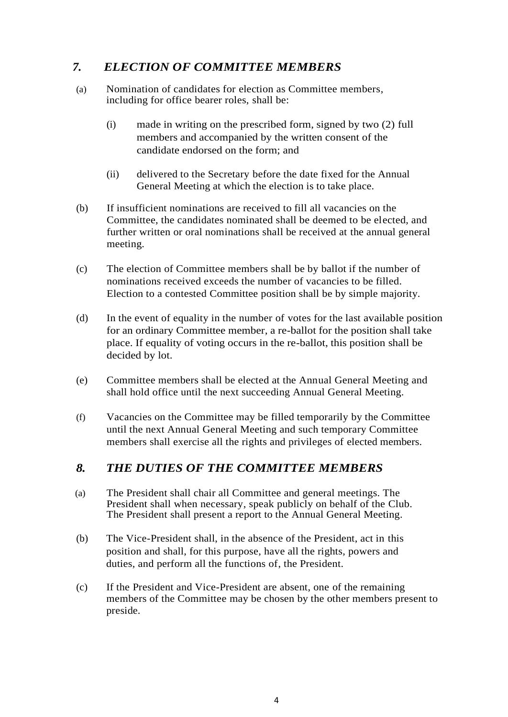## *7. ELECTION OF COMMITTEE MEMBERS*

- (a) Nomination of candidates for election as Committee members, including for office bearer roles, shall be:
	- (i) made in writing on the prescribed form, signed by two (2) full members and accompanied by the written consent of the candidate endorsed on the form; and
	- (ii) delivered to the Secretary before the date fixed for the Annual General Meeting at which the election is to take place.
- (b) If insufficient nominations are received to fill all vacancies on the Committee, the candidates nominated shall be deemed to be elected, and further written or oral nominations shall be received at the annual general meeting.
- (c) The election of Committee members shall be by ballot if the number of nominations received exceeds the number of vacancies to be filled. Election to a contested Committee position shall be by simple majority.
- (d) In the event of equality in the number of votes for the last available position for an ordinary Committee member, a re-ballot for the position shall take place. If equality of voting occurs in the re-ballot, this position shall be decided by lot.
- (e) Committee members shall be elected at the Annual General Meeting and shall hold office until the next succeeding Annual General Meeting.
- (f) Vacancies on the Committee may be filled temporarily by the Committee until the next Annual General Meeting and such temporary Committee members shall exercise all the rights and privileges of elected members.

#### *8. THE DUTIES OF THE COMMITTEE MEMBERS*

- (a) The President shall chair all Committee and general meetings. The President shall when necessary, speak publicly on behalf of the Club. The President shall present a report to the Annual General Meeting.
- (b) The Vice-President shall, in the absence of the President, act in this position and shall, for this purpose, have all the rights, powers and duties, and perform all the functions of, the President.
- (c) If the President and Vice-President are absent, one of the remaining members of the Committee may be chosen by the other members present to preside.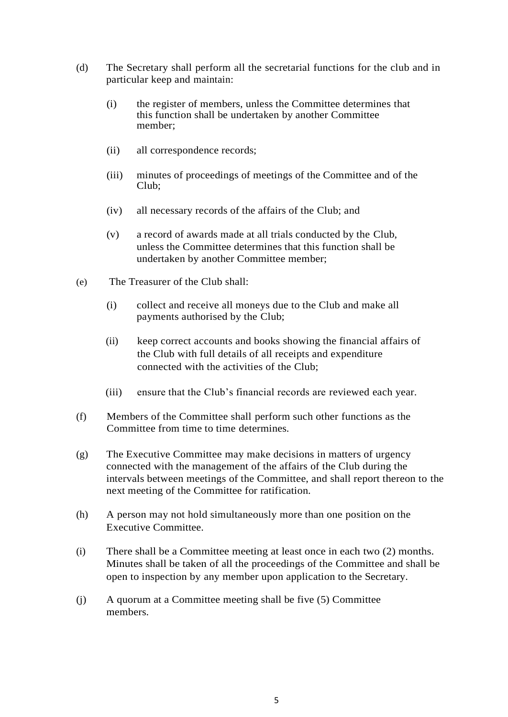- (d) The Secretary shall perform all the secretarial functions for the club and in particular keep and maintain:
	- (i) the register of members, unless the Committee determines that this function shall be undertaken by another Committee member;
	- (ii) all correspondence records;
	- (iii) minutes of proceedings of meetings of the Committee and of the Club;
	- (iv) all necessary records of the affairs of the Club; and
	- (v) a record of awards made at all trials conducted by the Club, unless the Committee determines that this function shall be undertaken by another Committee member;
- (e) The Treasurer of the Club shall:
	- (i) collect and receive all moneys due to the Club and make all payments authorised by the Club;
	- (ii) keep correct accounts and books showing the financial affairs of the Club with full details of all receipts and expenditure connected with the activities of the Club;
	- (iii) ensure that the Club's financial records are reviewed each year.
- (f) Members of the Committee shall perform such other functions as the Committee from time to time determines.
- (g) The Executive Committee may make decisions in matters of urgency connected with the management of the affairs of the Club during the intervals between meetings of the Committee, and shall report thereon to the next meeting of the Committee for ratification.
- (h) A person may not hold simultaneously more than one position on the Executive Committee.
- (i) There shall be a Committee meeting at least once in each two (2) months. Minutes shall be taken of all the proceedings of the Committee and shall be open to inspection by any member upon application to the Secretary.
- (j) A quorum at a Committee meeting shall be five (5) Committee members.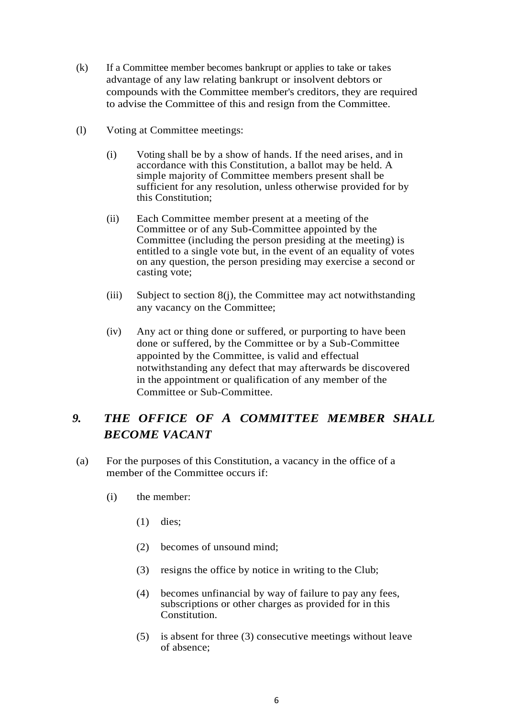- (k) If a Committee member becomes bankrupt or applies to take or takes advantage of any law relating bankrupt or insolvent debtors or compounds with the Committee member's creditors, they are required to advise the Committee of this and resign from the Committee.
- (l) Voting at Committee meetings:
	- (i) Voting shall be by a show of hands. If the need arises, and in accordance with this Constitution, a ballot may be held. A simple majority of Committee members present shall be sufficient for any resolution, unless otherwise provided for by this Constitution;
	- (ii) Each Committee member present at a meeting of the Committee or of any Sub-Committee appointed by the Committee (including the person presiding at the meeting) is entitled to a single vote but, in the event of an equality of votes on any question, the person presiding may exercise a second or casting vote;
	- (iii) Subject to section 8(j), the Committee may act notwithstanding any vacancy on the Committee;
	- (iv) Any act or thing done or suffered, or purporting to have been done or suffered, by the Committee or by a Sub-Committee appointed by the Committee, is valid and effectual notwithstanding any defect that may afterwards be discovered in the appointment or qualification of any member of the Committee or Sub-Committee.

# *9. THE OFFICE OF A COMMITTEE MEMBER SHALL BECOME VACANT*

- (a) For the purposes of this Constitution, a vacancy in the office of a member of the Committee occurs if:
	- (i) the member:
		- (1) dies;
		- (2) becomes of unsound mind;
		- (3) resigns the office by notice in writing to the Club;
		- (4) becomes unfinancial by way of failure to pay any fees, subscriptions or other charges as provided for in this Constitution.
		- (5) is absent for three (3) consecutive meetings without leave of absence;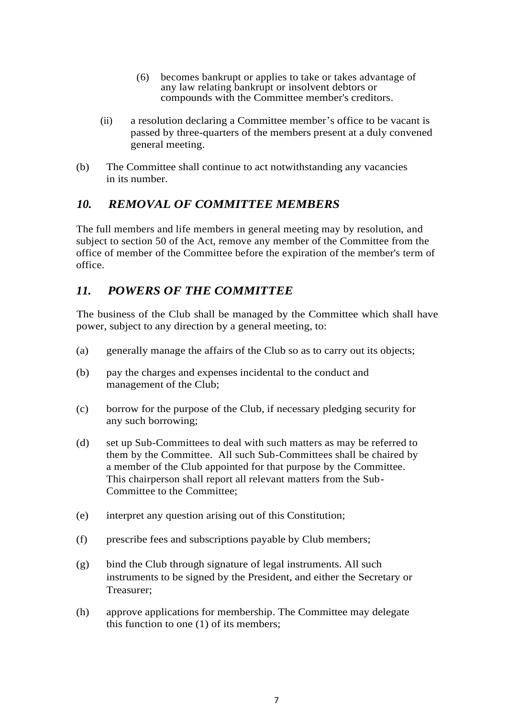- (6) becomes bankrupt or applies to take or takes advantage of any law relating bankrupt or insolvent debtors or compounds with the Committee member's creditors.
- (ii) a resolution declaring a Committee member's office to be vacant is passed by three-quarters of the members present at a duly convened general meeting.
- (b) The Committee shall continue to act notwithstanding any vacancies in its number.

#### *10. REMOVAL OF COMMITTEE MEMBERS*

The full members and life members in general meeting may by resolution, and subject to section 50 of the Act, remove any member of the Committee from the office of member of the Committee before the expiration of the member's term of office.

## *11. POWERS OF THE COMMITTEE*

The business of the Club shall be managed by the Committee which shall have power, subject to any direction by a general meeting, to:

- (a) generally manage the affairs of the Club so as to carry out its objects;
- (b) pay the charges and expenses incidental to the conduct and management of the Club;
- (c) borrow for the purpose of the Club, if necessary pledging security for any such borrowing;
- (d) set up Sub-Committees to deal with such matters as may be referred to them by the Committee. All such Sub-Committees shall be chaired by a member of the Club appointed for that purpose by the Committee. This chairperson shall report all relevant matters from the Sub-Committee to the Committee;
- (e) interpret any question arising out of this Constitution;
- (f) prescribe fees and subscriptions payable by Club members;
- (g) bind the Club through signature of legal instruments. All such instruments to be signed by the President, and either the Secretary or Treasurer;
- (h) approve applications for membership. The Committee may delegate this function to one (1) of its members;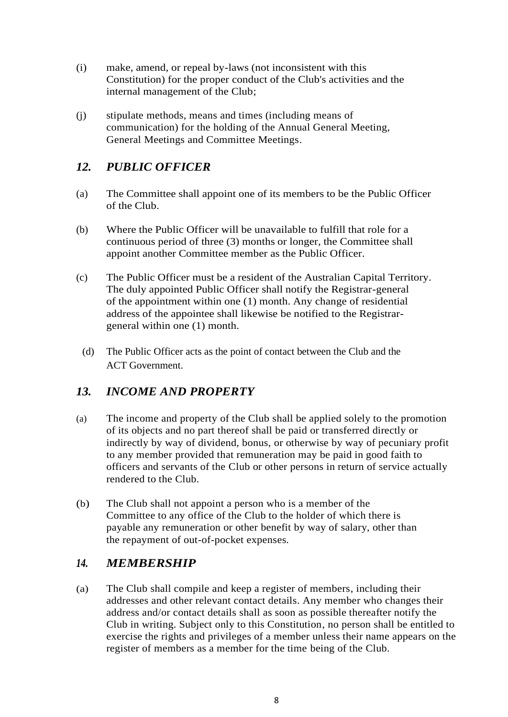- (i) make, amend, or repeal by-laws (not inconsistent with this Constitution) for the proper conduct of the Club's activities and the internal management of the Club;
- (j) stipulate methods, means and times (including means of communication) for the holding of the Annual General Meeting, General Meetings and Committee Meetings.

## *12. PUBLIC OFFICER*

- (a) The Committee shall appoint one of its members to be the Public Officer of the Club.
- (b) Where the Public Officer will be unavailable to fulfill that role for a continuous period of three (3) months or longer, the Committee shall appoint another Committee member as the Public Officer.
- (c) The Public Officer must be a resident of the Australian Capital Territory. The duly appointed Public Officer shall notify the Registrar-general of the appointment within one (1) month. Any change of residential address of the appointee shall likewise be notified to the Registrargeneral within one (1) month.
	- (d) The Public Officer acts as the point of contact between the Club and the ACT Government.

#### *13. INCOME AND PROPERTY*

- (a) The income and property of the Club shall be applied solely to the promotion of its objects and no part thereof shall be paid or transferred directly or indirectly by way of dividend, bonus, or otherwise by way of pecuniary profit to any member provided that remuneration may be paid in good faith to officers and servants of the Club or other persons in return of service actually rendered to the Club.
- (b) The Club shall not appoint a person who is a member of the Committee to any office of the Club to the holder of which there is payable any remuneration or other benefit by way of salary, other than the repayment of out-of-pocket expenses.

#### *14. MEMBERSHIP*

(a) The Club shall compile and keep a register of members, including their addresses and other relevant contact details. Any member who changes their address and/or contact details shall as soon as possible thereafter notify the Club in writing. Subject only to this Constitution, no person shall be entitled to exercise the rights and privileges of a member unless their name appears on the register of members as a member for the time being of the Club.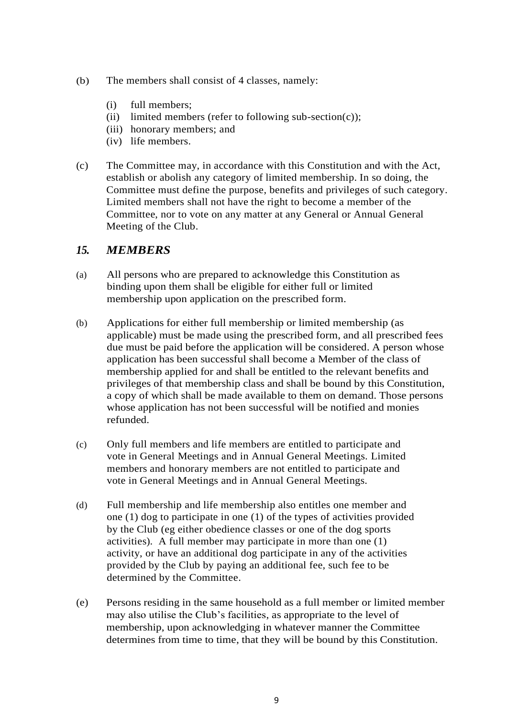- (b) The members shall consist of 4 classes, namely:
	- (i) full members;
	- (ii) limited members (refer to following sub-section(c));
	- (iii) honorary members; and
	- (iv) life members.
- (c) The Committee may, in accordance with this Constitution and with the Act, establish or abolish any category of limited membership. In so doing, the Committee must define the purpose, benefits and privileges of such category. Limited members shall not have the right to become a member of the Committee, nor to vote on any matter at any General or Annual General Meeting of the Club.

#### *15. MEMBERS*

- (a) All persons who are prepared to acknowledge this Constitution as binding upon them shall be eligible for either full or limited membership upon application on the prescribed form.
- (b) Applications for either full membership or limited membership (as applicable) must be made using the prescribed form, and all prescribed fees due must be paid before the application will be considered. A person whose application has been successful shall become a Member of the class of membership applied for and shall be entitled to the relevant benefits and privileges of that membership class and shall be bound by this Constitution, a copy of which shall be made available to them on demand. Those persons whose application has not been successful will be notified and monies refunded.
- (c) Only full members and life members are entitled to participate and vote in General Meetings and in Annual General Meetings. Limited members and honorary members are not entitled to participate and vote in General Meetings and in Annual General Meetings.
- (d) Full membership and life membership also entitles one member and one (1) dog to participate in one (1) of the types of activities provided by the Club (eg either obedience classes or one of the dog sports activities). A full member may participate in more than one (1) activity, or have an additional dog participate in any of the activities provided by the Club by paying an additional fee, such fee to be determined by the Committee.
- (e) Persons residing in the same household as a full member or limited member may also utilise the Club's facilities, as appropriate to the level of membership, upon acknowledging in whatever manner the Committee determines from time to time, that they will be bound by this Constitution.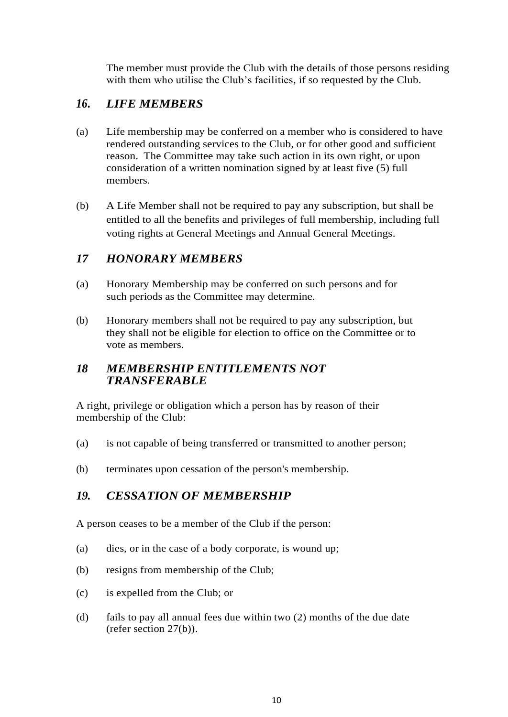The member must provide the Club with the details of those persons residing with them who utilise the Club's facilities, if so requested by the Club.

## *16***.** *LIFE MEMBERS*

- (a) Life membership may be conferred on a member who is considered to have rendered outstanding services to the Club, or for other good and sufficient reason. The Committee may take such action in its own right, or upon consideration of a written nomination signed by at least five (5) full members.
- (b) A Life Member shall not be required to pay any subscription, but shall be entitled to all the benefits and privileges of full membership, including full voting rights at General Meetings and Annual General Meetings.

#### *17 HONORARY MEMBERS*

- (a) Honorary Membership may be conferred on such persons and for such periods as the Committee may determine.
- (b) Honorary members shall not be required to pay any subscription, but they shall not be eligible for election to office on the Committee or to vote as members.

#### *18 MEMBERSHIP ENTITLEMENTS NOT TRANSFERABLE*

A right, privilege or obligation which a person has by reason of their membership of the Club:

- (a) is not capable of being transferred or transmitted to another person;
- (b) terminates upon cessation of the person's membership.

## *19. CESSATION OF MEMBERSHIP*

A person ceases to be a member of the Club if the person:

- (a) dies, or in the case of a body corporate, is wound up;
- (b) resigns from membership of the Club;
- (c) is expelled from the Club; or
- (d) fails to pay all annual fees due within two (2) months of the due date (refer section 27(b)).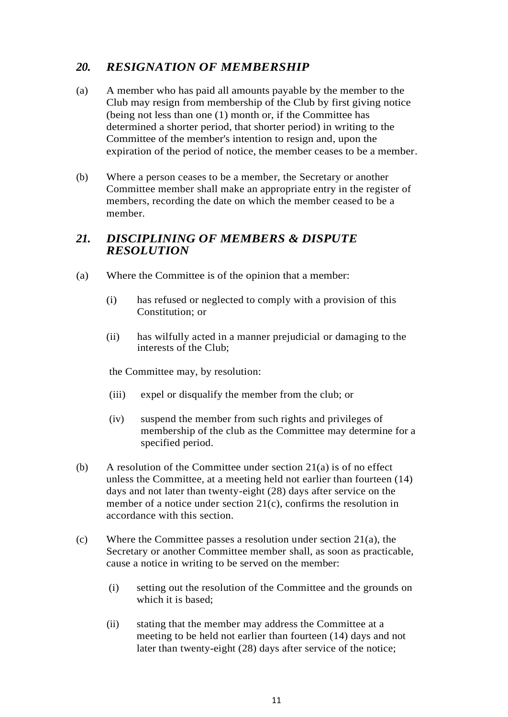## *20. RESIGNATION OF MEMBERSHIP*

- (a) A member who has paid all amounts payable by the member to the Club may resign from membership of the Club by first giving notice (being not less than one (1) month or, if the Committee has determined a shorter period, that shorter period) in writing to the Committee of the member's intention to resign and, upon the expiration of the period of notice, the member ceases to be a member.
- (b) Where a person ceases to be a member, the Secretary or another Committee member shall make an appropriate entry in the register of members, recording the date on which the member ceased to be a member.

#### *21. DISCIPLINING OF MEMBERS & DISPUTE RESOLUTION*

- (a) Where the Committee is of the opinion that a member:
	- (i) has refused or neglected to comply with a provision of this Constitution; or
	- (ii) has wilfully acted in a manner prejudicial or damaging to the interests of the Club;

the Committee may, by resolution:

- (iii) expel or disqualify the member from the club; or
- (iv) suspend the member from such rights and privileges of membership of the club as the Committee may determine for a specified period.
- (b) A resolution of the Committee under section  $21(a)$  is of no effect unless the Committee, at a meeting held not earlier than fourteen (14) days and not later than twenty-eight (28) days after service on the member of a notice under section 21(c), confirms the resolution in accordance with this section.
- (c) Where the Committee passes a resolution under section 21(a), the Secretary or another Committee member shall, as soon as practicable, cause a notice in writing to be served on the member:
	- (i) setting out the resolution of the Committee and the grounds on which it is based;
	- (ii) stating that the member may address the Committee at a meeting to be held not earlier than fourteen (14) days and not later than twenty-eight (28) days after service of the notice;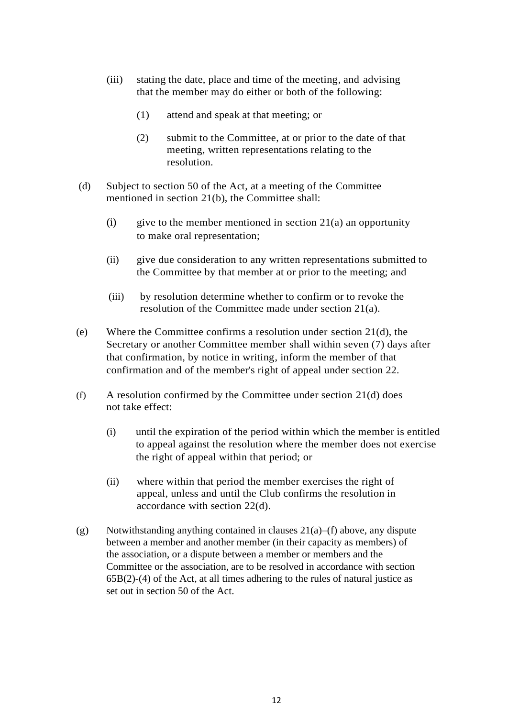- (iii) stating the date, place and time of the meeting, and advising that the member may do either or both of the following:
	- (1) attend and speak at that meeting; or
	- (2) submit to the Committee, at or prior to the date of that meeting, written representations relating to the resolution.
- (d) Subject to section 50 of the Act, at a meeting of the Committee mentioned in section 21(b), the Committee shall:
	- (i) give to the member mentioned in section  $21(a)$  an opportunity to make oral representation;
	- (ii) give due consideration to any written representations submitted to the Committee by that member at or prior to the meeting; and
	- (iii) by resolution determine whether to confirm or to revoke the resolution of the Committee made under section 21(a).
- (e) Where the Committee confirms a resolution under section 21(d), the Secretary or another Committee member shall within seven (7) days after that confirmation, by notice in writing, inform the member of that confirmation and of the member's right of appeal under section 22.
- (f) A resolution confirmed by the Committee under section 21(d) does not take effect:
	- (i) until the expiration of the period within which the member is entitled to appeal against the resolution where the member does not exercise the right of appeal within that period; or
	- (ii) where within that period the member exercises the right of appeal, unless and until the Club confirms the resolution in accordance with section 22(d).
- (g) Notwithstanding anything contained in clauses  $21(a)$ –(f) above, any dispute between a member and another member (in their capacity as members) of the association, or a dispute between a member or members and the Committee or the association, are to be resolved in accordance with section 65B(2)-(4) of the Act, at all times adhering to the rules of natural justice as set out in section 50 of the Act.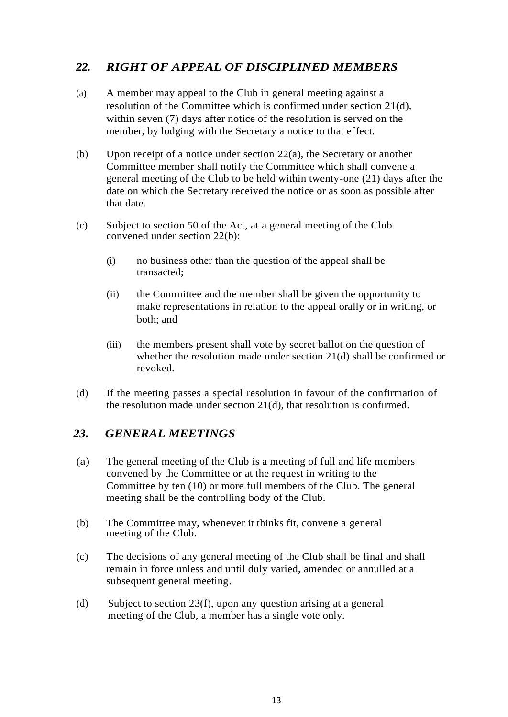## *22. RIGHT OF APPEAL OF DISCIPLINED MEMBERS*

- (a) A member may appeal to the Club in general meeting against a resolution of the Committee which is confirmed under section 21(d), within seven (7) days after notice of the resolution is served on the member, by lodging with the Secretary a notice to that effect.
- (b) Upon receipt of a notice under section 22(a), the Secretary or another Committee member shall notify the Committee which shall convene a general meeting of the Club to be held within twenty-one (21) days after the date on which the Secretary received the notice or as soon as possible after that date.
- (c) Subject to section 50 of the Act, at a general meeting of the Club convened under section 22(b):
	- (i) no business other than the question of the appeal shall be transacted;
	- (ii) the Committee and the member shall be given the opportunity to make representations in relation to the appeal orally or in writing, or both; and
	- (iii) the members present shall vote by secret ballot on the question of whether the resolution made under section 21(d) shall be confirmed or revoked.
- (d) If the meeting passes a special resolution in favour of the confirmation of the resolution made under section 21(d), that resolution is confirmed.

#### *23. GENERAL MEETINGS*

- (a) The general meeting of the Club is a meeting of full and life members convened by the Committee or at the request in writing to the Committee by ten (10) or more full members of the Club. The general meeting shall be the controlling body of the Club.
- (b) The Committee may, whenever it thinks fit, convene a general meeting of the Club.
- (c) The decisions of any general meeting of the Club shall be final and shall remain in force unless and until duly varied, amended or annulled at a subsequent general meeting.
- (d) Subject to section 23(f), upon any question arising at a general meeting of the Club, a member has a single vote only.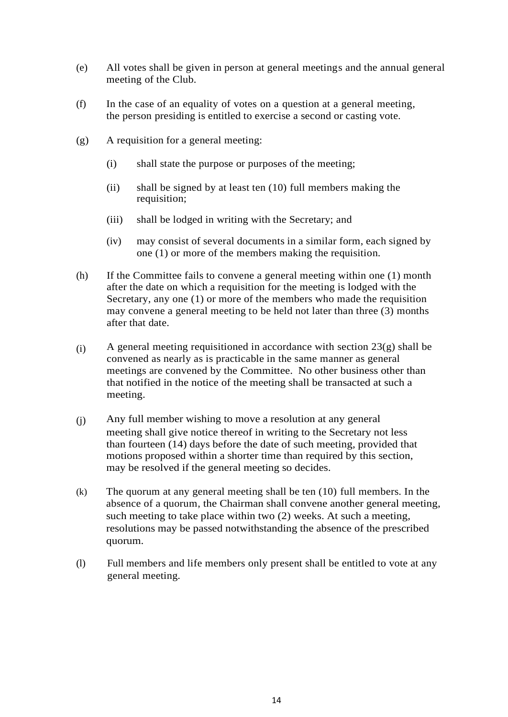- (e) All votes shall be given in person at general meetings and the annual general meeting of the Club.
- (f) In the case of an equality of votes on a question at a general meeting, the person presiding is entitled to exercise a second or casting vote.
- (g) A requisition for a general meeting:
	- (i) shall state the purpose or purposes of the meeting;
	- (ii) shall be signed by at least ten (10) full members making the requisition;
	- (iii) shall be lodged in writing with the Secretary; and
	- (iv) may consist of several documents in a similar form, each signed by one (1) or more of the members making the requisition.
- (h) If the Committee fails to convene a general meeting within one (1) month after the date on which a requisition for the meeting is lodged with the Secretary, any one (1) or more of the members who made the requisition may convene a general meeting to be held not later than three (3) months after that date.
- (i) A general meeting requisitioned in accordance with section 23(g) shall be convened as nearly as is practicable in the same manner as general meetings are convened by the Committee. No other business other than that notified in the notice of the meeting shall be transacted at such a meeting.
- (j) Any full member wishing to move a resolution at any general meeting shall give notice thereof in writing to the Secretary not less than fourteen (14) days before the date of such meeting, provided that motions proposed within a shorter time than required by this section, may be resolved if the general meeting so decides.
- (k) The quorum at any general meeting shall be ten (10) full members. In the absence of a quorum, the Chairman shall convene another general meeting, such meeting to take place within two (2) weeks. At such a meeting, resolutions may be passed notwithstanding the absence of the prescribed quorum.
- (l) Full members and life members only present shall be entitled to vote at any general meeting.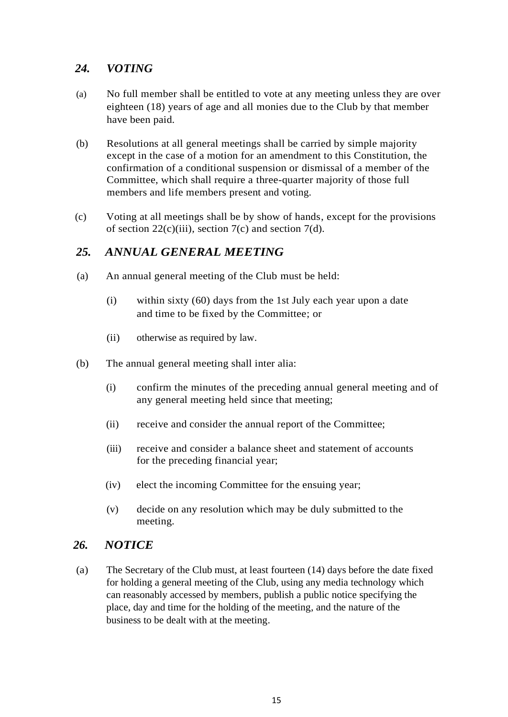### *24. VOTING*

- (a) No full member shall be entitled to vote at any meeting unless they are over eighteen (18) years of age and all monies due to the Club by that member have been paid.
- (b) Resolutions at all general meetings shall be carried by simple majority except in the case of a motion for an amendment to this Constitution, the confirmation of a conditional suspension or dismissal of a member of the Committee, which shall require a three-quarter majority of those full members and life members present and voting.
- (c) Voting at all meetings shall be by show of hands, except for the provisions of section  $22(c)(iii)$ , section  $7(c)$  and section  $7(d)$ .

## *25. ANNUAL GENERAL MEETING*

- (a) An annual general meeting of the Club must be held:
	- (i) within sixty (60) days from the 1st July each year upon a date and time to be fixed by the Committee; or
	- (ii) otherwise as required by law.
- (b) The annual general meeting shall inter alia:
	- (i) confirm the minutes of the preceding annual general meeting and of any general meeting held since that meeting;
	- (ii) receive and consider the annual report of the Committee;
	- (iii) receive and consider a balance sheet and statement of accounts for the preceding financial year;
	- (iv) elect the incoming Committee for the ensuing year;
	- (v) decide on any resolution which may be duly submitted to the meeting.

#### *26. NOTICE*

(a) The Secretary of the Club must, at least fourteen (14) days before the date fixed for holding a general meeting of the Club, using any media technology which can reasonably accessed by members, publish a public notice specifying the place, day and time for the holding of the meeting, and the nature of the business to be dealt with at the meeting.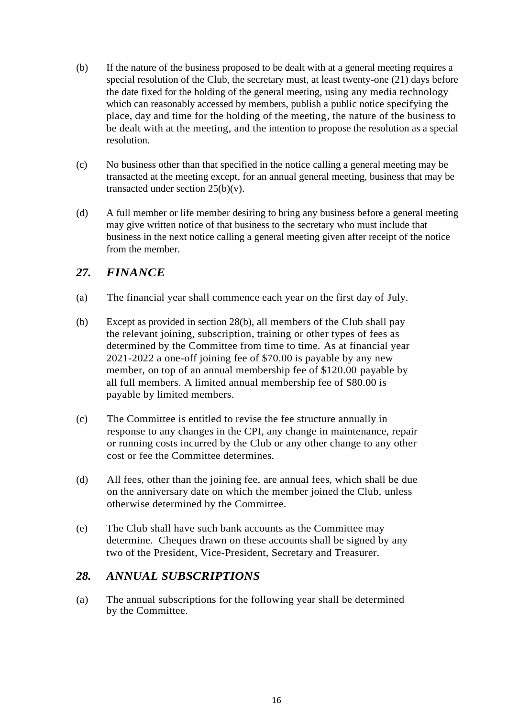- (b) If the nature of the business proposed to be dealt with at a general meeting requires a special resolution of the Club, the secretary must, at least twenty-one (21) days before the date fixed for the holding of the general meeting, using any media technology which can reasonably accessed by members, publish a public notice specifying the place, day and time for the holding of the meeting, the nature of the business to be dealt with at the meeting, and the intention to propose the resolution as a special resolution.
- (c) No business other than that specified in the notice calling a general meeting may be transacted at the meeting except, for an annual general meeting, business that may be transacted under section  $25(b)(v)$ .
- (d) A full member or life member desiring to bring any business before a general meeting may give written notice of that business to the secretary who must include that business in the next notice calling a general meeting given after receipt of the notice from the member.

#### *27. FINANCE*

- (a) The financial year shall commence each year on the first day of July.
- (b) Except as provided in section 28(b), all members of the Club shall pay the relevant joining, subscription, training or other types of fees as determined by the Committee from time to time. As at financial year 2021-2022 a one-off joining fee of \$70.00 is payable by any new member, on top of an annual membership fee of \$120.00 payable by all full members. A limited annual membership fee of \$80.00 is payable by limited members.
- (c) The Committee is entitled to revise the fee structure annually in response to any changes in the CPI, any change in maintenance, repair or running costs incurred by the Club or any other change to any other cost or fee the Committee determines.
- (d) All fees, other than the joining fee, are annual fees, which shall be due on the anniversary date on which the member joined the Club, unless otherwise determined by the Committee.
- (e) The Club shall have such bank accounts as the Committee may determine. Cheques drawn on these accounts shall be signed by any two of the President, Vice-President, Secretary and Treasurer.

#### *28. ANNUAL SUBSCRIPTIONS*

(a) The annual subscriptions for the following year shall be determined by the Committee.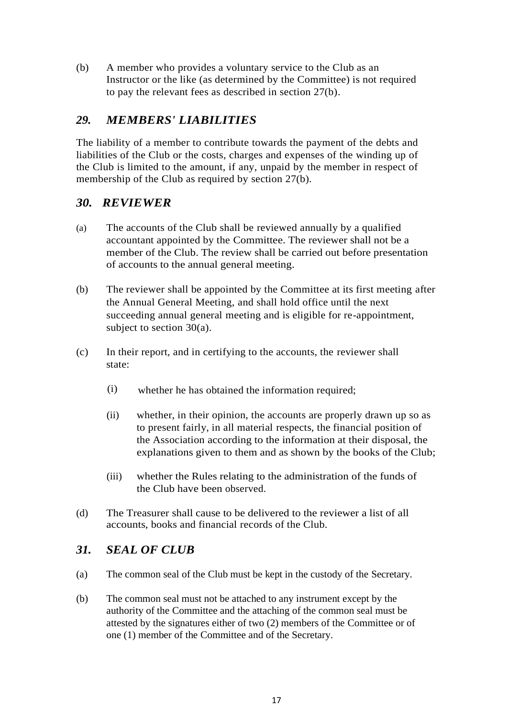(b) A member who provides a voluntary service to the Club as an Instructor or the like (as determined by the Committee) is not required to pay the relevant fees as described in section 27(b).

## *29. MEMBERS' LIABILITIES*

The liability of a member to contribute towards the payment of the debts and liabilities of the Club or the costs, charges and expenses of the winding up of the Club is limited to the amount, if any, unpaid by the member in respect of membership of the Club as required by section 27(b).

## *30. REVIEWER*

- (a) The accounts of the Club shall be reviewed annually by a qualified accountant appointed by the Committee. The reviewer shall not be a member of the Club. The review shall be carried out before presentation of accounts to the annual general meeting.
- (b) The reviewer shall be appointed by the Committee at its first meeting after the Annual General Meeting, and shall hold office until the next succeeding annual general meeting and is eligible for re-appointment, subject to section 30(a).
- (c) In their report, and in certifying to the accounts, the reviewer shall state:
	- (i) whether he has obtained the information required;
	- (ii) whether, in their opinion, the accounts are properly drawn up so as to present fairly, in all material respects, the financial position of the Association according to the information at their disposal, the explanations given to them and as shown by the books of the Club;
	- (iii) whether the Rules relating to the administration of the funds of the Club have been observed.
- (d) The Treasurer shall cause to be delivered to the reviewer a list of all accounts, books and financial records of the Club.

#### *31. SEAL OF CLUB*

- (a) The common seal of the Club must be kept in the custody of the Secretary.
- (b) The common seal must not be attached to any instrument except by the authority of the Committee and the attaching of the common seal must be attested by the signatures either of two (2) members of the Committee or of one (1) member of the Committee and of the Secretary.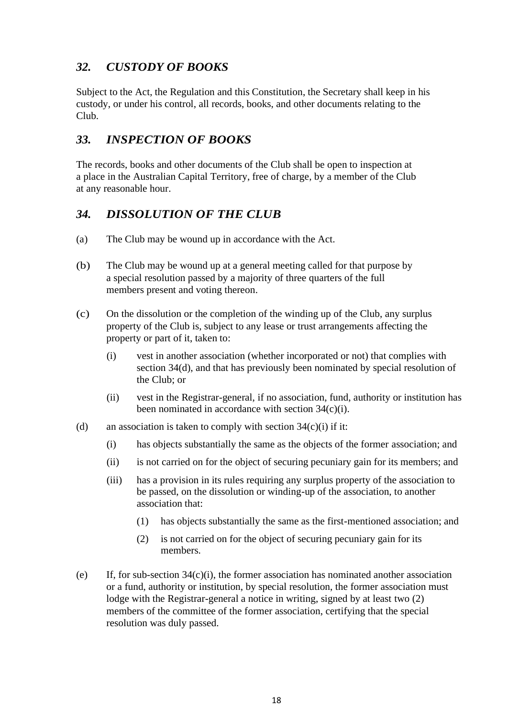# *32. CUSTODY OF BOOKS*

Subject to the Act, the Regulation and this Constitution, the Secretary shall keep in his custody, or under his control, all records, books, and other documents relating to the Club.

## *33. INSPECTION OF BOOKS*

The records, books and other documents of the Club shall be open to inspection at a place in the Australian Capital Territory, free of charge, by a member of the Club at any reasonable hour.

# *34. DISSOLUTION OF THE CLUB*

- (a) The Club may be wound up in accordance with the Act.
- (b) The Club may be wound up at a general meeting called for that purpose by a special resolution passed by a majority of three quarters of the full members present and voting thereon.
- (c) On the dissolution or the completion of the winding up of the Club, any surplus property of the Club is, subject to any lease or trust arrangements affecting the property or part of it, taken to:
	- (i) vest in another association (whether incorporated or not) that complies with section 34(d), and that has previously been nominated by special resolution of the Club; or
	- (ii) vest in the Registrar-general, if no association, fund, authority or institution has been nominated in accordance with section 34(c)(i).
- (d) an association is taken to comply with section  $34(c)(i)$  if it:
	- (i) has objects substantially the same as the objects of the former association; and
	- (ii) is not carried on for the object of securing pecuniary gain for its members; and
	- (iii) has a provision in its rules requiring any surplus property of the association to be passed, on the dissolution or winding-up of the association, to another association that:
		- (1) has objects substantially the same as the first-mentioned association; and
		- (2) is not carried on for the object of securing pecuniary gain for its members.
- (e) If, for sub-section 34(c)(i), the former association has nominated another association or a fund, authority or institution, by special resolution, the former association must lodge with the Registrar-general a notice in writing, signed by at least two (2) members of the committee of the former association, certifying that the special resolution was duly passed.